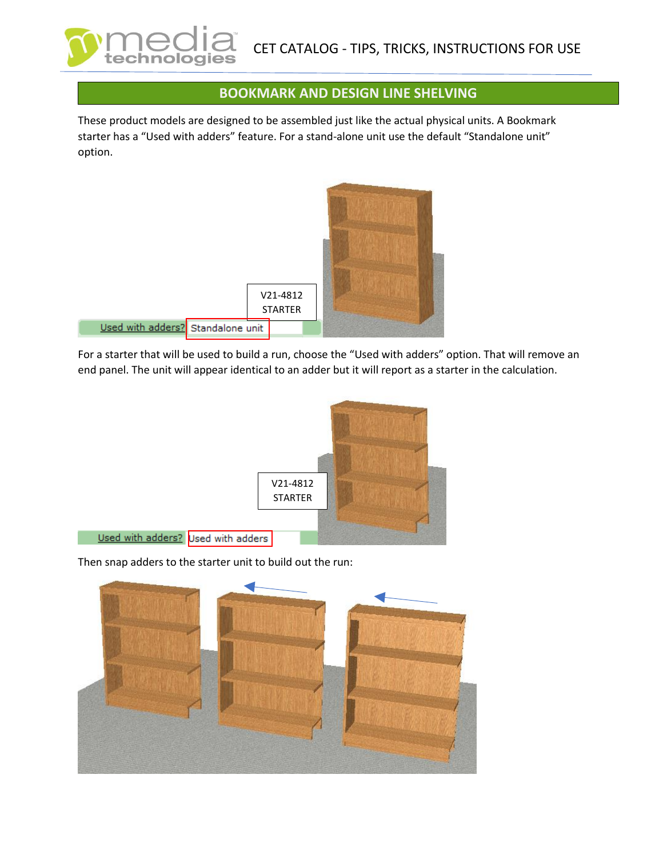## **BOOKMARK AND DESIGN LINE SHELVING**

These product models are designed to be assembled just like the actual physical units. A Bookmark starter has a "Used with adders" feature. For a stand-alone unit use the default "Standalone unit" option.



tec

For a starter that will be used to build a run, choose the "Used with adders" option. That will remove an end panel. The unit will appear identical to an adder but it will report as a starter in the calculation.



Then snap adders to the starter unit to build out the run:

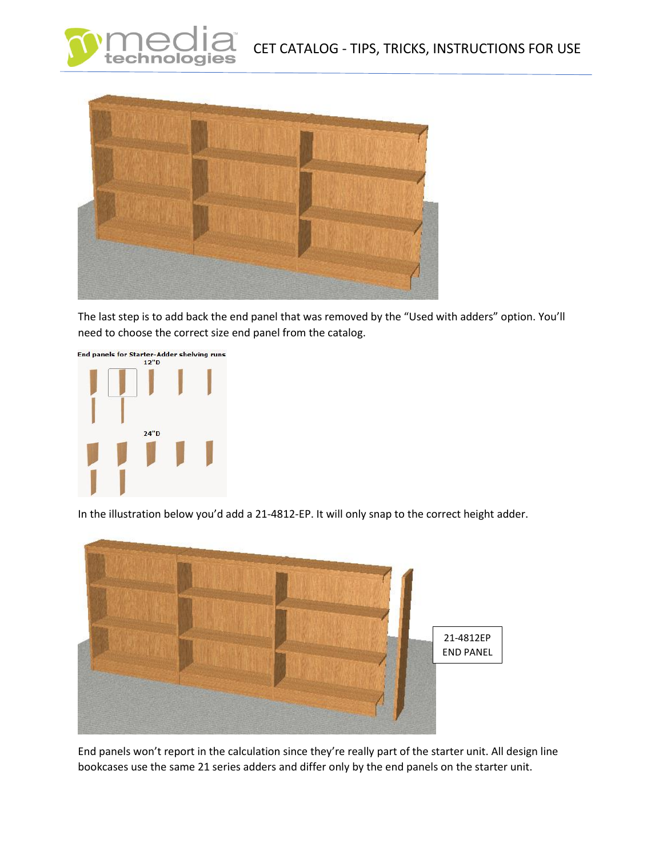



The last step is to add back the end panel that was removed by the "Used with adders" option. You'll need to choose the correct size end panel from the catalog.



In the illustration below you'd add a 21-4812-EP. It will only snap to the correct height adder.



End panels won't report in the calculation since they're really part of the starter unit. All design line bookcases use the same 21 series adders and differ only by the end panels on the starter unit.